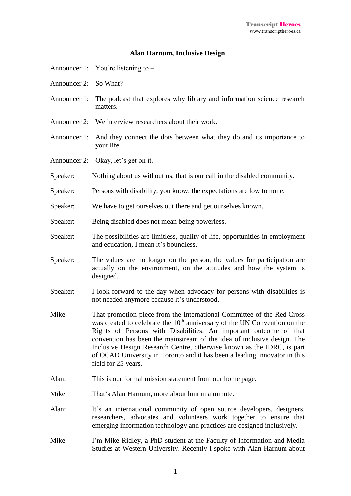## **Alan Harnum, Inclusive Design**

- Announcer 1: You're listening to –
- Announcer 2: So What?
- Announcer 1: The podcast that explores why library and information science research matters.
- Announcer 2: We interview researchers about their work.
- Announcer 1: And they connect the dots between what they do and its importance to your life.
- Announcer 2: Okay, let's get on it.
- Speaker: Nothing about us without us, that is our call in the disabled community.
- Speaker: Persons with disability, you know, the expectations are low to none.
- Speaker: We have to get ourselves out there and get ourselves known.
- Speaker: Being disabled does not mean being powerless.
- Speaker: The possibilities are limitless, quality of life, opportunities in employment and education, I mean it's boundless.
- Speaker: The values are no longer on the person, the values for participation are actually on the environment, on the attitudes and how the system is designed.
- Speaker: I look forward to the day when advocacy for persons with disabilities is not needed anymore because it's understood.
- Mike: That promotion piece from the International Committee of the Red Cross was created to celebrate the  $10<sup>th</sup>$  anniversary of the UN Convention on the Rights of Persons with Disabilities. An important outcome of that convention has been the mainstream of the idea of inclusive design. The Inclusive Design Research Centre, otherwise known as the IDRC, is part of OCAD University in Toronto and it has been a leading innovator in this field for 25 years.
- Alan: This is our formal mission statement from our home page.
- Mike: That's Alan Harnum, more about him in a minute.
- Alan: It's an international community of open source developers, designers, researchers, advocates and volunteers work together to ensure that emerging information technology and practices are designed inclusively.
- Mike: I'm Mike Ridley, a PhD student at the Faculty of Information and Media Studies at Western University. Recently I spoke with Alan Harnum about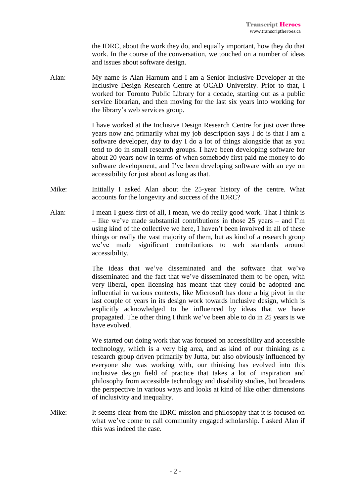the IDRC, about the work they do, and equally important, how they do that work. In the course of the conversation, we touched on a number of ideas and issues about software design.

Alan: My name is Alan Harnum and I am a Senior Inclusive Developer at the Inclusive Design Research Centre at OCAD University. Prior to that, I worked for Toronto Public Library for a decade, starting out as a public service librarian, and then moving for the last six years into working for the library's web services group.

> I have worked at the Inclusive Design Research Centre for just over three years now and primarily what my job description says I do is that I am a software developer, day to day I do a lot of things alongside that as you tend to do in small research groups. I have been developing software for about 20 years now in terms of when somebody first paid me money to do software development, and I've been developing software with an eye on accessibility for just about as long as that.

- Mike: Initially I asked Alan about the 25-year history of the centre. What accounts for the longevity and success of the IDRC?
- Alan: I mean I guess first of all, I mean, we do really good work. That I think is – like we've made substantial contributions in those 25 years – and I'm using kind of the collective we here, I haven't been involved in all of these things or really the vast majority of them, but as kind of a research group we've made significant contributions to web standards around accessibility.

The ideas that we've disseminated and the software that we've disseminated and the fact that we've disseminated them to be open, with very liberal, open licensing has meant that they could be adopted and influential in various contexts, like Microsoft has done a big pivot in the last couple of years in its design work towards inclusive design, which is explicitly acknowledged to be influenced by ideas that we have propagated. The other thing I think we've been able to do in 25 years is we have evolved.

We started out doing work that was focused on accessibility and accessible technology, which is a very big area, and as kind of our thinking as a research group driven primarily by Jutta, but also obviously influenced by everyone she was working with, our thinking has evolved into this inclusive design field of practice that takes a lot of inspiration and philosophy from accessible technology and disability studies, but broadens the perspective in various ways and looks at kind of like other dimensions of inclusivity and inequality.

Mike: It seems clear from the IDRC mission and philosophy that it is focused on what we've come to call community engaged scholarship. I asked Alan if this was indeed the case.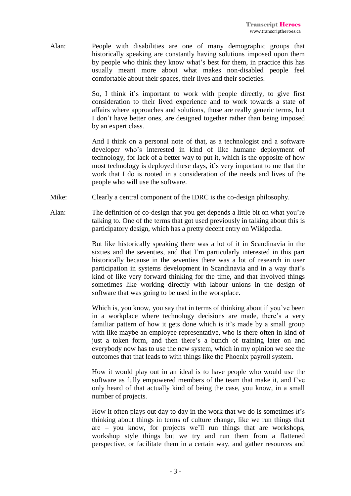Alan: People with disabilities are one of many demographic groups that historically speaking are constantly having solutions imposed upon them by people who think they know what's best for them, in practice this has usually meant more about what makes non-disabled people feel comfortable about their spaces, their lives and their societies.

> So, I think it's important to work with people directly, to give first consideration to their lived experience and to work towards a state of affairs where approaches and solutions, those are really generic terms, but I don't have better ones, are designed together rather than being imposed by an expert class.

> And I think on a personal note of that, as a technologist and a software developer who's interested in kind of like humane deployment of technology, for lack of a better way to put it, which is the opposite of how most technology is deployed these days, it's very important to me that the work that I do is rooted in a consideration of the needs and lives of the people who will use the software.

- Mike: Clearly a central component of the IDRC is the co-design philosophy.
- Alan: The definition of co-design that you get depends a little bit on what you're talking to. One of the terms that got used previously in talking about this is participatory design, which has a pretty decent entry on Wikipedia.

But like historically speaking there was a lot of it in Scandinavia in the sixties and the seventies, and that I'm particularly interested in this part historically because in the seventies there was a lot of research in user participation in systems development in Scandinavia and in a way that's kind of like very forward thinking for the time, and that involved things sometimes like working directly with labour unions in the design of software that was going to be used in the workplace.

Which is, you know, you say that in terms of thinking about if you've been in a workplace where technology decisions are made, there's a very familiar pattern of how it gets done which is it's made by a small group with like maybe an employee representative, who is there often in kind of just a token form, and then there's a bunch of training later on and everybody now has to use the new system, which in my opinion we see the outcomes that that leads to with things like the Phoenix payroll system.

How it would play out in an ideal is to have people who would use the software as fully empowered members of the team that make it, and I've only heard of that actually kind of being the case, you know, in a small number of projects.

How it often plays out day to day in the work that we do is sometimes it's thinking about things in terms of culture change, like we run things that are – you know, for projects we'll run things that are workshops, workshop style things but we try and run them from a flattened perspective, or facilitate them in a certain way, and gather resources and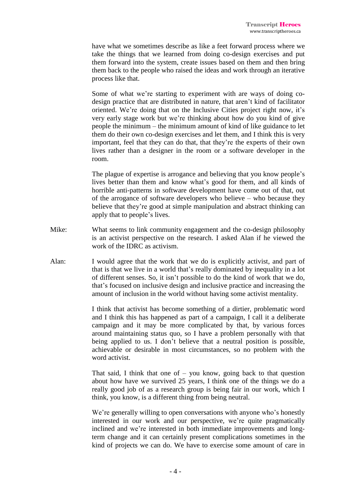have what we sometimes describe as like a feet forward process where we take the things that we learned from doing co-design exercises and put them forward into the system, create issues based on them and then bring them back to the people who raised the ideas and work through an iterative process like that.

Some of what we're starting to experiment with are ways of doing codesign practice that are distributed in nature, that aren't kind of facilitator oriented. We're doing that on the Inclusive Cities project right now, it's very early stage work but we're thinking about how do you kind of give people the minimum – the minimum amount of kind of like guidance to let them do their own co-design exercises and let them, and I think this is very important, feel that they can do that, that they're the experts of their own lives rather than a designer in the room or a software developer in the room.

The plague of expertise is arrogance and believing that you know people's lives better than them and know what's good for them, and all kinds of horrible anti-patterns in software development have come out of that, out of the arrogance of software developers who believe – who because they believe that they're good at simple manipulation and abstract thinking can apply that to people's lives.

- Mike: What seems to link community engagement and the co-design philosophy is an activist perspective on the research. I asked Alan if he viewed the work of the IDRC as activism.
- Alan: I would agree that the work that we do is explicitly activist, and part of that is that we live in a world that's really dominated by inequality in a lot of different senses. So, it isn't possible to do the kind of work that we do, that's focused on inclusive design and inclusive practice and increasing the amount of inclusion in the world without having some activist mentality.

I think that activist has become something of a dirtier, problematic word and I think this has happened as part of a campaign, I call it a deliberate campaign and it may be more complicated by that, by various forces around maintaining status quo, so I have a problem personally with that being applied to us. I don't believe that a neutral position is possible, achievable or desirable in most circumstances, so no problem with the word activist.

That said, I think that one of  $-$  you know, going back to that question about how have we survived 25 years, I think one of the things we do a really good job of as a research group is being fair in our work, which I think, you know, is a different thing from being neutral.

We're generally willing to open conversations with anyone who's honestly interested in our work and our perspective, we're quite pragmatically inclined and we're interested in both immediate improvements and longterm change and it can certainly present complications sometimes in the kind of projects we can do. We have to exercise some amount of care in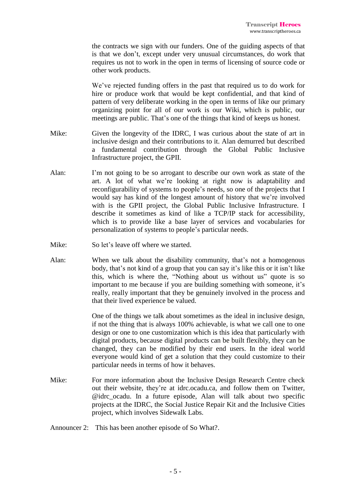the contracts we sign with our funders. One of the guiding aspects of that is that we don't, except under very unusual circumstances, do work that requires us not to work in the open in terms of licensing of source code or other work products.

We've rejected funding offers in the past that required us to do work for hire or produce work that would be kept confidential, and that kind of pattern of very deliberate working in the open in terms of like our primary organizing point for all of our work is our Wiki, which is public, our meetings are public. That's one of the things that kind of keeps us honest.

- Mike: Given the longevity of the IDRC, I was curious about the state of art in inclusive design and their contributions to it. Alan demurred but described a fundamental contribution through the Global Public Inclusive Infrastructure project, the GPII.
- Alan: I'm not going to be so arrogant to describe our own work as state of the art. A lot of what we're looking at right now is adaptability and reconfigurability of systems to people's needs, so one of the projects that I would say has kind of the longest amount of history that we're involved with is the GPII project, the Global Public Inclusive Infrastructure. I describe it sometimes as kind of like a TCP/IP stack for accessibility, which is to provide like a base layer of services and vocabularies for personalization of systems to people's particular needs.
- Mike: So let's leave off where we started.
- Alan: When we talk about the disability community, that's not a homogenous body, that's not kind of a group that you can say it's like this or it isn't like this, which is where the, "Nothing about us without us" quote is so important to me because if you are building something with someone, it's really, really important that they be genuinely involved in the process and that their lived experience be valued.

One of the things we talk about sometimes as the ideal in inclusive design, if not the thing that is always 100% achievable, is what we call one to one design or one to one customization which is this idea that particularly with digital products, because digital products can be built flexibly, they can be changed, they can be modified by their end users. In the ideal world everyone would kind of get a solution that they could customize to their particular needs in terms of how it behaves.

Mike: For more information about the Inclusive Design Research Centre check out their website, they're at idrc.ocadu.ca, and follow them on Twitter, @idrc\_ocadu. In a future episode, Alan will talk about two specific projects at the IDRC, the Social Justice Repair Kit and the Inclusive Cities project, which involves Sidewalk Labs.

Announcer 2: This has been another episode of So What?.